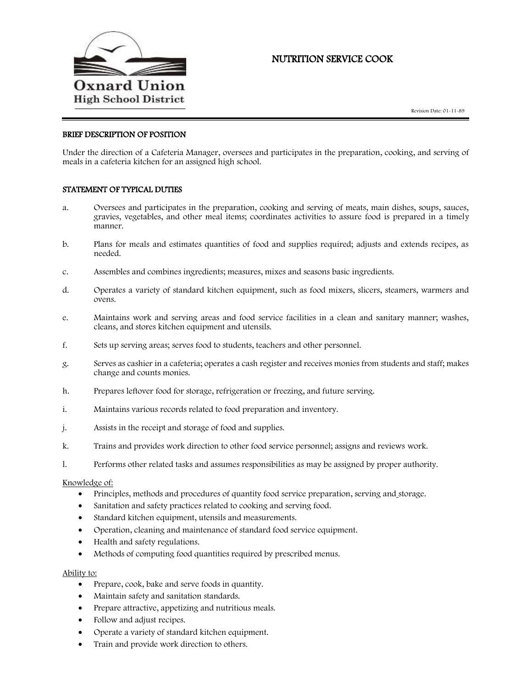

# NUTRITION SERVICE COOK

## BRIEF DESCRIPTION OF POSITION

Under the direction of a Cafeteria Manager, oversees and participates in the preparation, cooking, and serving of meals in a cafeteria kitchen for an assigned high school.

### STATEMENT OF TYPICAL DUTIES

- a. Oversees and participates in the preparation, cooking and serving of meats, main dishes, soups, sauces, gravies, vegetables, and other meal items; coordinates activities to assure food is prepared in a timely manner.
- b. Plans for meals and estimates quantities of food and supplies required; adjusts and extends recipes, as needed.
- c. Assembles and combines ingredients; measures, mixes and seasons basic ingredients.
- d. Operates a variety of standard kitchen equipment, such as food mixers, slicers, steamers, warmers and ovens.
- e. Maintains work and serving areas and food service facilities in a clean and sanitary manner; washes, cleans, and stores kitchen equipment and utensils.
- f. Sets up serving areas; serves food to students, teachers and other personnel.
- g. Serves as cashier in a cafeteria; operates a cash register and receives monies from students and staff; makes change and counts monies.
- h. Prepares leftover food for storage, refrigeration or freezing, and future serving.
- i. Maintains various records related to food preparation and inventory.
- j. Assists in the receipt and storage of food and supplies.
- k. Trains and provides work direction to other food service personnel; assigns and reviews work.
- l. Performs other related tasks and assumes responsibilities as may be assigned by proper authority.

### Knowledge of:

- Principles, methods and procedures of quantity food service preparation, serving and storage.
- Sanitation and safety practices related to cooking and serving food.
- Standard kitchen equipment, utensils and measurements.
- Operation, cleaning and maintenance of standard food service equipment.
- Health and safety regulations.
- Methods of computing food quantities required by prescribed menus.

#### Ability to:

- Prepare, cook, bake and serve foods in quantity.
- Maintain safety and sanitation standards.
- Prepare attractive, appetizing and nutritious meals.
- Follow and adjust recipes.
- Operate a variety of standard kitchen equipment.
- Train and provide work direction to others.